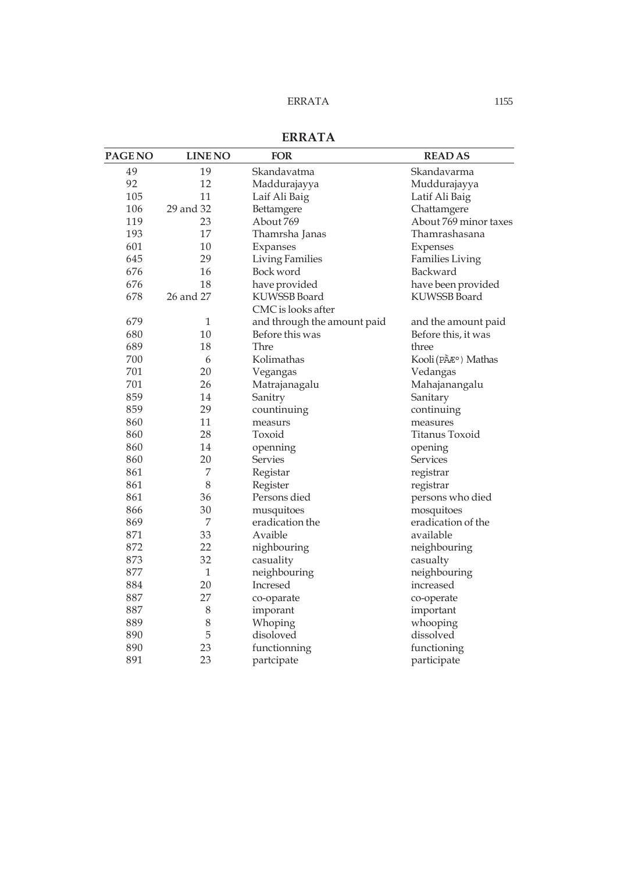## ERRATA 1155

| <b>PAGE NO</b> | <b>LINE NO</b> | <b>FOR</b>                  | <b>READ AS</b>         |
|----------------|----------------|-----------------------------|------------------------|
| 49             | 19             | Skandavatma                 | Skandavarma            |
| 92             | 12             | Maddurajayya                | Muddurajayya           |
| 105            | 11             | Laif Ali Baig               | Latif Ali Baig         |
| 106            | 29 and 32      | Bettamgere                  | Chattamgere            |
| 119            | 23             | About 769                   | About 769 minor taxes  |
| 193            | 17             | Thamrsha Janas              | Thamrashasana          |
| 601            | 10             | Expanses                    | Expenses               |
| 645            | 29             | <b>Living Families</b>      | <b>Families Living</b> |
| 676            | 16             | Bock word                   | Backward               |
| 676            | 18             | have provided               | have been provided     |
| 678            | 26 and 27      | <b>KUWSSB Board</b>         | <b>KUWSSB</b> Board    |
|                |                | CMC is looks after          |                        |
| 679            | $\mathbf{1}$   | and through the amount paid | and the amount paid    |
| 680            | 10             | Before this was             | Before this, it was    |
| 689            | 18             | Thre                        | three                  |
| 700            | 6              | Kolimathas                  | Kooli (PÀư) Mathas     |
| 701            | 20             | Vegangas                    | Vedangas               |
| 701            | 26             | Matrajanagalu               | Mahajanangalu          |
| 859            | 14             | Sanitry                     | Sanitary               |
| 859            | 29             | countinuing                 | continuing             |
| 860            | 11             | measurs                     | measures               |
| 860            | 28             | Toxoid                      | Titanus Toxoid         |
| 860            | 14             | openning                    | opening                |
| 860            | 20             | <b>Servies</b>              | <b>Services</b>        |
| 861            | 7              | Registar                    | registrar              |
| 861            | 8              | Register                    | registrar              |
| 861            | 36             | Persons died                | persons who died       |
| 866            | 30             | musquitoes                  | mosquitoes             |
| 869            | 7              | eradication the             | eradication of the     |
| 871            | 33             | Avaible                     | available              |
| 872            | 22             | nighbouring                 | neighbouring           |
| 873            | 32             | casuality                   | casualty               |
| 877            | $\mathbf{1}$   | neighbouring                | neighbouring           |
| 884            | 20             | Incresed                    | increased              |
| 887            | 27             | co-oparate                  | co-operate             |
| 887            | 8              | imporant                    | important              |
| 889            | 8              | Whoping                     | whooping               |
| 890            | 5              | disoloved                   | dissolved              |
| 890            | 23             | functionning                | functioning            |
| 891            | 23             | partcipate                  | participate            |

**ERRATA**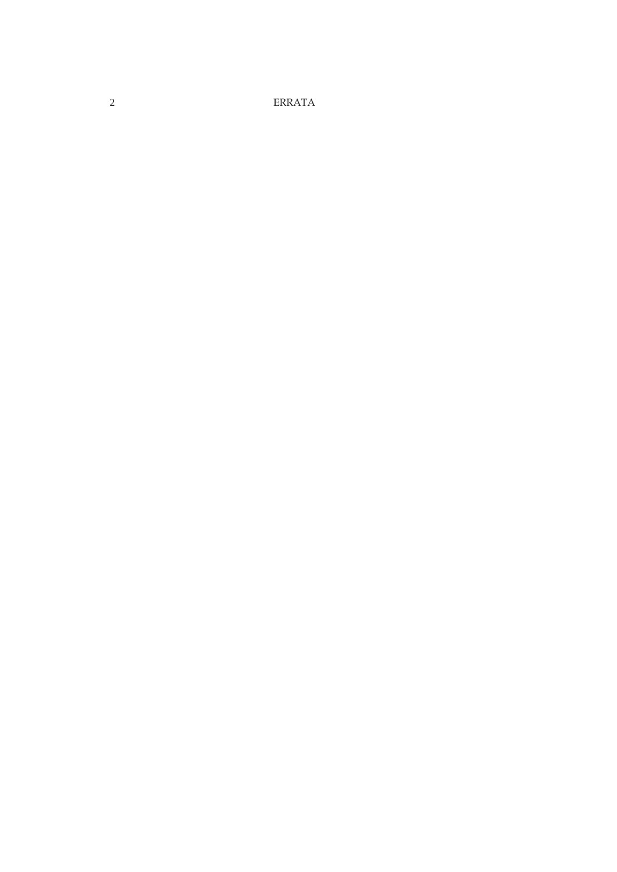**ERRATA**